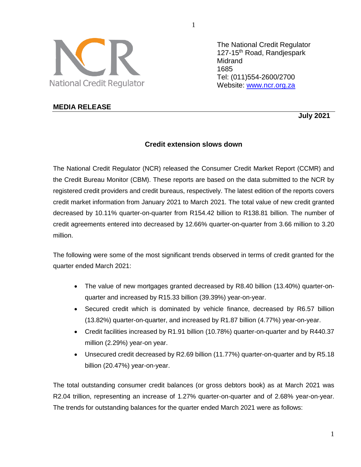

The National Credit Regulator 127-15<sup>th</sup> Road, Randiespark **Midrand** 1685 Tel: (011)554-2600/2700 Website: [www.ncr.org.za](http://www.ncr.org.za/)

## **MEDIA RELEASE**

 **July 2021**

# **Credit extension slows down**

The National Credit Regulator (NCR) released the Consumer Credit Market Report (CCMR) and the Credit Bureau Monitor (CBM). These reports are based on the data submitted to the NCR by registered credit providers and credit bureaus, respectively. The latest edition of the reports covers credit market information from January 2021 to March 2021. The total value of new credit granted decreased by 10.11% quarter-on-quarter from R154.42 billion to R138.81 billion. The number of credit agreements entered into decreased by 12.66% quarter-on-quarter from 3.66 million to 3.20 million.

The following were some of the most significant trends observed in terms of credit granted for the quarter ended March 2021:

- The value of new mortgages granted decreased by R8.40 billion (13.40%) quarter-onquarter and increased by R15.33 billion (39.39%) year-on-year.
- Secured credit which is dominated by vehicle finance, decreased by R6.57 billion (13.82%) quarter-on-quarter, and increased by R1.87 billion (4.77%) year-on-year.
- Credit facilities increased by R1.91 billion (10.78%) quarter-on-quarter and by R440.37 million (2.29%) year-on year.
- Unsecured credit decreased by R2.69 billion (11.77%) quarter-on-quarter and by R5.18 billion (20.47%) year-on-year.

The total outstanding consumer credit balances (or gross debtors book) as at March 2021 was R2.04 trillion, representing an increase of 1.27% quarter-on-quarter and of 2.68% year-on-year. The trends for outstanding balances for the quarter ended March 2021 were as follows:

1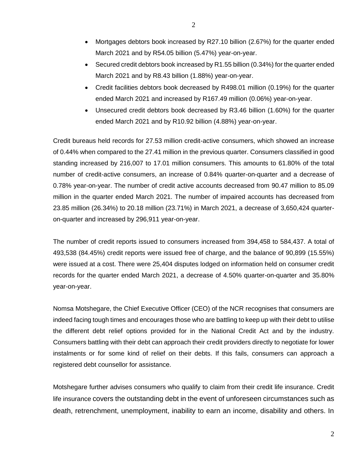- Mortgages debtors book increased by R27.10 billion (2.67%) for the quarter ended March 2021 and by R54.05 billion (5.47%) year-on-year.
- Secured credit debtors book increased by R1.55 billion (0.34%) for the quarter ended March 2021 and by R8.43 billion (1.88%) year-on-year.
- Credit facilities debtors book decreased by R498.01 million (0.19%) for the quarter ended March 2021 and increased by R167.49 million (0.06%) year-on-year.
- Unsecured credit debtors book decreased by R3.46 billion (1.60%) for the quarter ended March 2021 and by R10.92 billion (4.88%) year-on-year.

Credit bureaus held records for 27.53 million credit-active consumers, which showed an increase of 0.44% when compared to the 27.41 million in the previous quarter. Consumers classified in good standing increased by 216,007 to 17.01 million consumers. This amounts to 61.80% of the total number of credit-active consumers, an increase of 0.84% quarter-on-quarter and a decrease of 0.78% year-on-year. The number of credit active accounts decreased from 90.47 million to 85.09 million in the quarter ended March 2021. The number of impaired accounts has decreased from 23.85 million (26.34%) to 20.18 million (23.71%) in March 2021, a decrease of 3,650,424 quarteron-quarter and increased by 296,911 year-on-year.

The number of credit reports issued to consumers increased from 394,458 to 584,437. A total of 493,538 (84.45%) credit reports were issued free of charge, and the balance of 90,899 (15.55%) were issued at a cost. There were 25,404 disputes lodged on information held on consumer credit records for the quarter ended March 2021, a decrease of 4.50% quarter-on-quarter and 35.80% year-on-year.

Nomsa Motshegare, the Chief Executive Officer (CEO) of the NCR recognises that consumers are indeed facing tough times and encourages those who are battling to keep up with their debt to utilise the different debt relief options provided for in the National Credit Act and by the industry. Consumers battling with their debt can approach their credit providers directly to negotiate for lower instalments or for some kind of relief on their debts. If this fails, consumers can approach a registered debt counsellor for assistance.

Motshegare further advises consumers who qualify to claim from their credit life insurance. Credit life insurance covers the outstanding debt in the event of unforeseen circumstances such as death, retrenchment, unemployment, inability to earn an income, disability and others. In